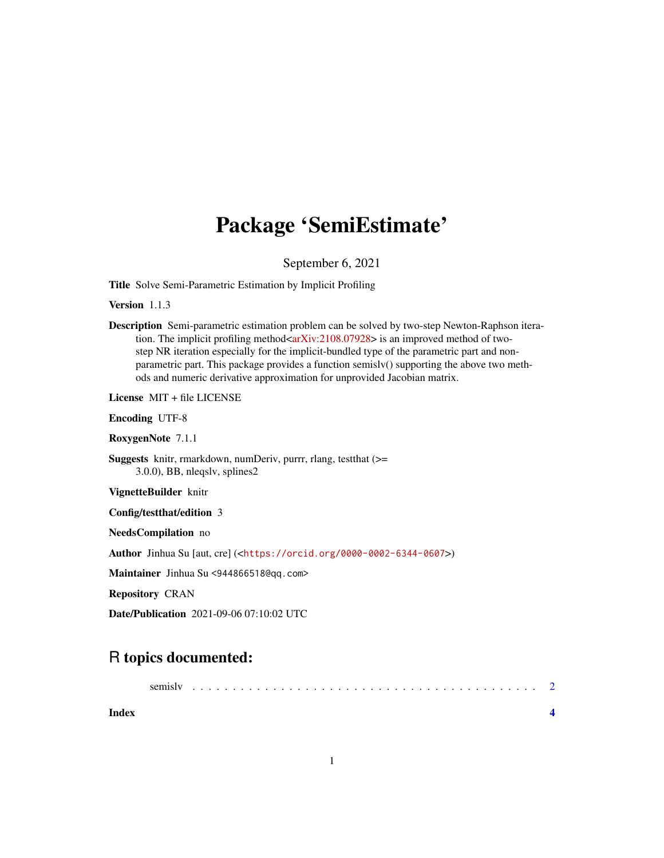## Package 'SemiEstimate'

September 6, 2021

Title Solve Semi-Parametric Estimation by Implicit Profiling

Version 1.1.3

Description Semi-parametric estimation problem can be solved by two-step Newton-Raphson itera-tion. The implicit profiling method[<arXiv:2108.07928>](https://arxiv.org/abs/2108.07928) is an improved method of twostep NR iteration especially for the implicit-bundled type of the parametric part and nonparametric part. This package provides a function semislv() supporting the above two methods and numeric derivative approximation for unprovided Jacobian matrix.

License MIT + file LICENSE

Encoding UTF-8

RoxygenNote 7.1.1

Suggests knitr, rmarkdown, numDeriv, purrr, rlang, testthat (>= 3.0.0), BB, nleqslv, splines2

VignetteBuilder knitr

Config/testthat/edition 3

NeedsCompilation no

Author Jinhua Su [aut, cre] (<<https://orcid.org/0000-0002-6344-0607>>)

Maintainer Jinhua Su <944866518@qq.com>

Repository CRAN

Date/Publication 2021-09-06 07:10:02 UTC

### R topics documented:

| Index |  |  |  |  |  |  |  |  |  |  |  |  |  |  |  |  |  |  |  |
|-------|--|--|--|--|--|--|--|--|--|--|--|--|--|--|--|--|--|--|--|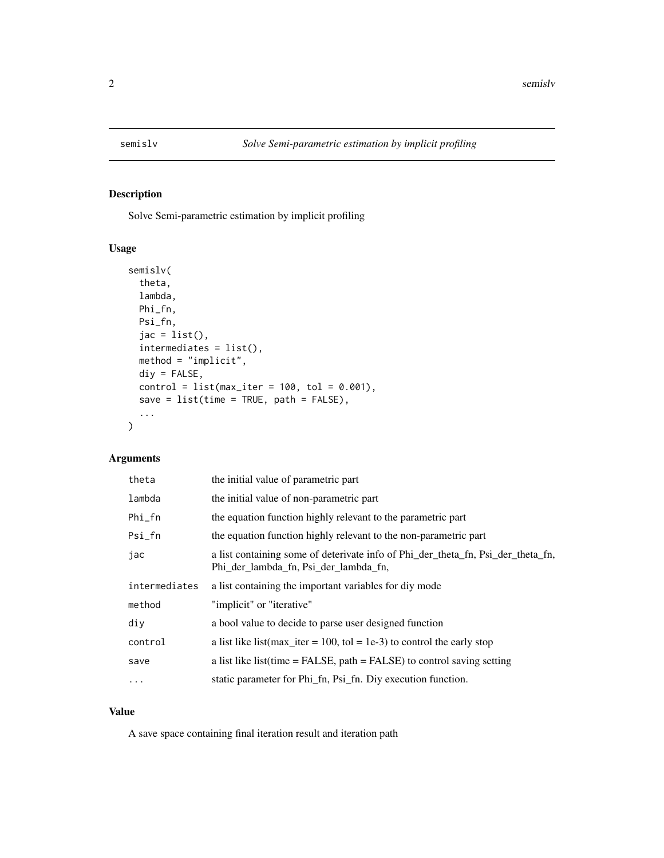<span id="page-1-0"></span>

#### Description

Solve Semi-parametric estimation by implicit profiling

#### Usage

```
semislv(
  theta,
  lambda,
 Phi_fn,
 Psi_fn,
  jac = list(),
  intermediates = list(),
 method = "implicit",
 div = FALSE,
 control = list(max\_iter = 100, tol = 0.001),save = list(time = TRUE, path = FALSE),...
\mathcal{L}
```
#### Arguments

| theta         | the initial value of parametric part                                                                                      |
|---------------|---------------------------------------------------------------------------------------------------------------------------|
| lambda        | the initial value of non-parametric part                                                                                  |
| $Phi_f$ n     | the equation function highly relevant to the parametric part                                                              |
| $Psi_f$ n     | the equation function highly relevant to the non-parametric part                                                          |
| jac           | a list containing some of deterivate info of Phi_der_theta_fn, Psi_der_theta_fn,<br>Phi_der_lambda_fn, Psi_der_lambda_fn, |
| intermediates | a list containing the important variables for div mode                                                                    |
| method        | "implicit" or "iterative"                                                                                                 |
| div           | a bool value to decide to parse user designed function                                                                    |
| control       | a list like list (max iter = 100, tol = 1e-3) to control the early stop                                                   |
| save          | a list like list(time $=$ FALSE, path $=$ FALSE) to control saving setting                                                |
| $\ddotsc$     | static parameter for Phi_fn, Psi_fn. Diy execution function.                                                              |

#### Value

A save space containing final iteration result and iteration path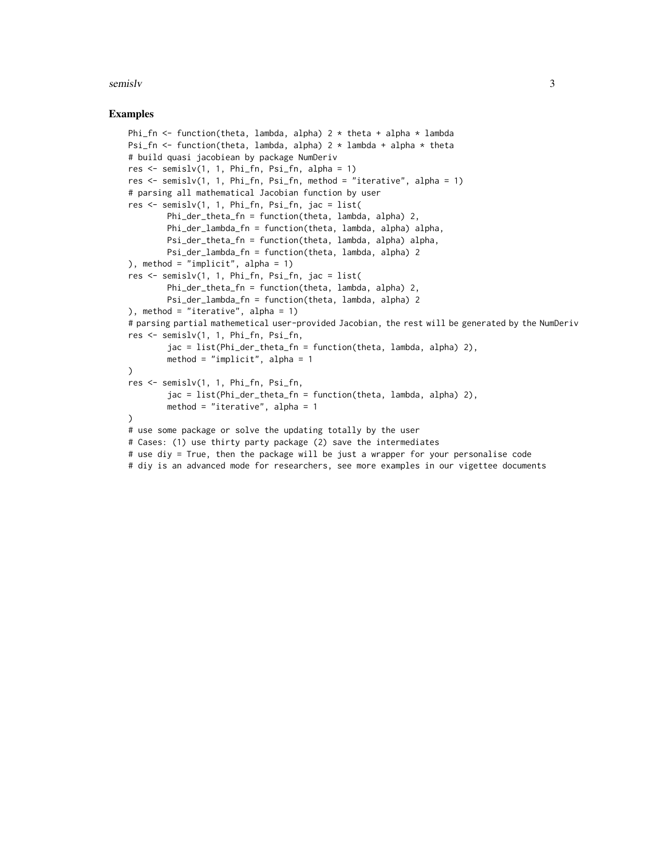#### semisly 3

#### Examples

```
Phi_fn <- function(theta, lambda, alpha) 2 * theta + alpha * lambda
Psi_fn \le function(theta, lambda, alpha) 2 \star lambda + alpha \star theta
# build quasi jacobiean by package NumDeriv
res <- semislv(1, 1, Phi_fn, Psi_fn, alpha = 1)
res <- semislv(1, 1, Phi_fn, Psi_fn, method = "iterative", alpha = 1)
# parsing all mathematical Jacobian function by user
res <- semislv(1, 1, Phi_fn, Psi_fn, jac = list(
        Phi_der_theta_fn = function(theta, lambda, alpha) 2,
        Phi_der_lambda_fn = function(theta, lambda, alpha) alpha,
        Psi_der_theta_fn = function(theta, lambda, alpha) alpha,
        Psi_der_lambda_fn = function(theta, lambda, alpha) 2
), method = "implicit", alpha = 1)
res <- semislv(1, 1, Phi_fn, Psi_fn, jac = list(
        Phi_der_theta_fn = function(theta, lambda, alpha) 2,
        Psi_der_lambda_fn = function(theta, lambda, alpha) 2
), method = "iterative", alpha = 1)
# parsing partial mathemetical user-provided Jacobian, the rest will be generated by the NumDeriv
res <- semislv(1, 1, Phi_fn, Psi_fn,
        jac = list(Phi_der_theta_fn = function(theta, lambda, alpha) 2),
        method = "implicit", alpha = 1
)
res <- semislv(1, 1, Phi_fn, Psi_fn,
        jac = list(Phi_der_theta_fn = function(theta, lambda, alpha) 2),
        method = "iterative", alpha = 1
)
# use some package or solve the updating totally by the user
# Cases: (1) use thirty party package (2) save the intermediates
# use diy = True, then the package will be just a wrapper for your personalise code
# diy is an advanced mode for researchers, see more examples in our vigettee documents
```